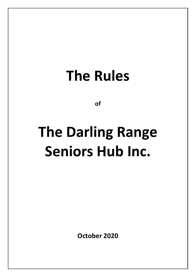## **The Rules**

**of**

# **The Darling Range Seniors Hub Inc.**

**October 2020**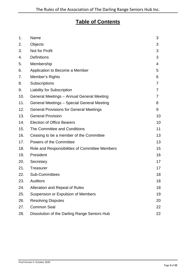### **Table of Contents**

| 1.  | Name                                           | 3  |
|-----|------------------------------------------------|----|
| 2.  | Objects                                        | 3  |
| 3.  | Not for Profit                                 | 3  |
| 4.  | <b>Definitions</b>                             | 3  |
| 5.  | Membership                                     | 4  |
| 6.  | Application to Become a Member                 | 5  |
| 7.  | Member's Rights                                | 6  |
| 8.  | Subscriptions                                  | 7  |
| 9.  | <b>Liability for Subscription</b>              | 7  |
| 10. | General Meetings - Annual General Meeting      | 7  |
| 11. | General Meetings - Special General Meeting     | 8  |
| 12. | <b>General Provisions for General Meetings</b> | 9  |
| 13. | <b>General Provision</b>                       | 10 |
| 14. | <b>Election of Office Bearers</b>              | 10 |
| 15. | The Committee and Conditions                   | 11 |
| 16. | Ceasing to be a member of the Committee        | 13 |
| 17. | Powers of the Committee                        | 13 |
| 18. | Role and Responsibilities of Committee Members | 15 |
| 19. | President                                      | 16 |
| 20. | Secretary                                      | 17 |
| 21. | <b>Treasurer</b>                               | 17 |
| 22. | <b>Sub-Committees</b>                          | 18 |
| 23. | <b>Auditors</b>                                | 18 |
| 24. | Alteration and Repeal of Rules                 | 18 |
| 25. | Suspension or Expulsion of Members             | 19 |
| 26. | <b>Resolving Disputes</b>                      | 20 |
| 27. | <b>Common Seal</b>                             | 22 |
| 28. | Dissolution of the Darling Range Seniors Hub   | 22 |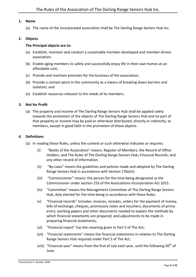#### <span id="page-2-0"></span>**1. Name**

(a) The name of the incorporated association shall be The Darling Range Seniors Hub Inc.

#### <span id="page-2-1"></span>**2. Objects**

#### **The Principal objects are to:**

- (a) Establish, maintain and conduct a sustainable member-developed and member-driven association;
- (b) Enable aging members to safely and successfully enjoy life in their own homes at an affordable cost;
- (c) Provide and maintain premises for the business of the association;
- (d) Provide a contact point in the community as a means of breaking down barriers and isolation; and
- (e) Establish resource*s* relevant to the needs of its members.

#### <span id="page-2-2"></span>**3. Not for Profit**

(a) The property and income of The Darling Range Seniors Hub shall be applied solely towards the promotion of the objects of The Darling Range Seniors Hub and no part of that property or income may be paid or otherwise distributed, directly or indirectly, to members, except in good faith in the promotion of those objects.

#### <span id="page-2-3"></span>**4. Definitions**

- (a) In reading these Rules, unless the context or such otherwise indicates or requires:
	- (i) "Books of the Association" means: Register of Members; the Record of Office Holders; and The Rules of The Darling Range Seniors Hub; Financial Records; and any other record of information.
	- (ii) "By-Laws" means the guidelines and policies made and adopted by The Darling Range Seniors Hub in accordance with Section 17b(xiii).
	- (iii) "Commissioner" means: the person for the time being designated as the Commissioner under section 153 of the Associations Incorporation Act 2015.
	- (iv) "Committee" means the Management Committee of The Darling Range Seniors Hub, duly elected for the time being in accordance with these Rules.
	- (v) "Financial records" Includes: invoices, receipts, orders for the payment of money, bills of exchange, cheques, promissory notes and vouchers; documents of prime entry; working papers and other documents needed to explain the methods by which financial statements are prepared; and adjustments to be made in preparing financial statements;
	- (vi) "Financial report" has the meaning given in Part 5 of The Act;
	- (vii) "Financial statements" means the financial statements in relation to The Darling Range Seniors Hub required under Part 5 of The Act;
	- (viii) "Financial year" means from the first of July each year, until the following  $30<sup>th</sup>$  of June.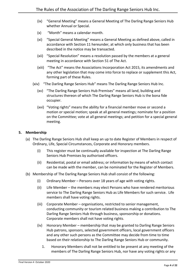- (ix) "General Meeting" means a General Meeting of The Darling Range Seniors Hub whether Annual or Special.
- (x) "Month" means a calendar month.
- (xi) "Special General Meeting" means a General Meeting as defined above, called in accordance with Section [11](#page-7-0) hereunder, at which only business that has been described in the notice may be transacted.
- (xii) "Special Resolution" means a resolution passed by the members at a general meeting in accordance with Section 51 of The Act.
- (xiii) "The Act" means the Associations Incorporation Act 2015, its amendments and any other legislation that may come into force to replace or supplement this Act, forming part of these Rules.
- (xiv) "The Darling Range Seniors Hub" means The Darling Range Seniors Hub Inc.
	- (xv) "The Darling Range Seniors Hub Premises" means all land, building and structures thereon of which The Darling Range Seniors Hub is the bona fide occupier.
	- (xvi) "Voting rights" means the ability for a financial member move or second a motion or special motion; speak at all general meetings; nominate for a position on the Committee; vote at all general meetings; and petition for a special general meeting.

#### <span id="page-3-0"></span>**5. Membership**

- (a) The Darling Range Seniors Hub shall keep an up to date Register of Members in respect of Ordinary, Life, Special Circumstances, Corporate and Honorary members.
	- (i) This register must be continually available for inspection at The Darling Range Seniors Hub Premises by authorised officers.
	- (ii) Residential, postal or email address; or information by means of which contact can be made with the member, can be nominated for the Register of Members.
- (b) Membership of The Darling Range Seniors Hub shall consist of the following:
	- (i) Ordinary Member Persons over 18 years of age with voting rights.
	- (ii) Life Member the members may elect Persons who have rendered meritorious service to The Darling Range Seniors Hub as Life Members for such service. Life members shall have voting rights.
	- (iii) Corporate Member organisations, restricted to senior management, conducting community or tourism related business making a contribution to The Darling Range Seniors Hub through business, sponsorship or donations. Corporate members shall not have voting rights.
	- (iv) Honorary Member membership that may be granted to Darling Range Seniors Hub patrons, sponsors, selected government officers, local government officers and any other such persons as the Committee may decide from time to time based on their relationship to The Darling Range Seniors Hub or community.
		- 1. Honorary Members shall not be entitled to be present at any meeting of the members of The Darling Range Seniors Hub, nor have any voting rights or any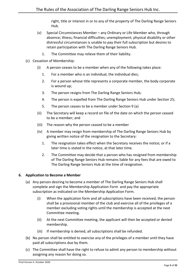right, title or interest in or to any of the property of The Darling Range Seniors Hub.

- (v) Special Circumstances Member any Ordinary or Life Member who, through absence; illness; financial difficulties; unemployment; physical disability or other distressful circumstances is unable to pay their full subscription but desires to retain participation with The Darling Range Seniors Hub.
	- 1. The Committee may relieve them of their liability.
- (c) Cessation of Membership:
	- (i) A person ceases to be a member when any of the following takes place:
		- 1. For a member who is an individual, the individual dies;
		- 2. For a person whose title represents a corporate member, the body corporate is wound up;
		- 3. The person resigns from The Darling Range Seniors Hub;
		- 4. The person is expelled from The Darling Range Seniors Hub under Section 25;
		- 5. The person ceases to be a member under Section 9 (a)
	- (ii) The Secretary will keep a record on file of the date on which the person ceased to be a member; and
	- (iii) The reason why the person ceased to be a member
	- (iv) A member may resign from membership of The Darling Range Seniors Hub by giving written notice of the resignation to the Secretary:
		- 1. The resignation takes effect when the Secretary receives the notice; or if a later time is stated in the notice, at that later time.
		- 2. The Committee may decide that a person who has resigned from membership of The Darling Range Seniors Hub remains liable for any fees that are owed to The Darling Range Seniors Hub at the time of resignation.

#### <span id="page-4-0"></span>**6. Application to Become a Member**

- (a) Any person desiring to become a member of The Darling Range Seniors Hub shall complete and sign the Membership Application Form and pay the appropriate subscription as indicated on the Membership Application Form.
	- (i) When the application form and all subscriptions have been received, the person shall be a provisional member of the club and exercise all of the privileges of a member excluding voting rights until the membership is accepted at the next Committee meeting.
	- (ii) At the next Committee meeting, the applicant will then be accepted or denied membership.
	- (iii) If membership is denied, all subscriptions shall be refunded.
- (b) No person shall be entitled to exercise any of the privileges of a member until they have paid all subscriptions due by them.
- (c) The Committee shall have the right to refuse to admit any person to membership without assigning any reason for doing so.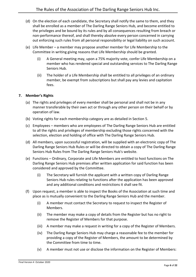- (d) On the election of each candidate, the Secretary shall notify the same to them, and they shall be enrolled as a member of The Darling Range Seniors Hub, and become entitled to the privileges and be bound by its rules and by all consequences resulting from breach or non-performance thereof, and shall thereby absolve every person concerned in carrying out enforcing such rules from all personal responsibility or legal liability on such account.
- (e) Life Member a member may propose another member for Life Membership to the Committee in writing giving reasons that Life Membership should be granted.
	- (i) A General meeting may, upon a 75% majority vote, confer Life Membership on a member who has rendered special and outstanding services to The Darling Range Seniors Hub.
	- (ii) The holder of a Life Membership shall be entitled to all privileges of an ordinary member, be exempt from subscriptions but shall pay any levies and capitation fees.

#### <span id="page-5-0"></span>**7. Member's Rights**

- (a) The rights and privileges of every member shall be personal and shall not be in any manner transferable by their own act or through any other person on their behalf or by operation of law.
- (b) Voting rights for each membership category are as detailed in Section 5.
- (c) Employees members who are employees of The Darling Range Seniors Hub are entitled to all the rights and privileges of membership excluding those rights concerned with the selection, election and holding of office with The Darling Range Seniors Hub.
- (d) All members, upon successful registration, will be supplied with an electronic copy of The Darling Range Seniors Hub Rules or will be directed to obtain a copy of The Darling Range Seniors Hub Rules from The Darling Range Seniors Hub's website.
- (e) Functions Ordinary, Corporate and Life Members are entitled to host functions on The Darling Range Seniors Hub premises after written application for said function has been considered and approved by the Committee.
	- (i) The Secretary will furnish the applicant with a written copy of Darling Range Seniors Hub rules relating to functions after the application has been approved and any additional conditions and restrictions it shall see fit.
- (f) Upon request, a member is able to inspect the Books of the Association at such time and place as is mutually convenient to the Darling Range Seniors Hub and the member.
	- (i) A member must contact the Secretary to request to inspect the Register of Members.
	- (ii) The member may make a copy of details from the Register but has no right to remove the Register of Members for that purpose.
	- (iii) A member may make a request in writing for a copy of the Register of Members.
	- (iv) The Darling Range Seniors Hub may charge a reasonable fee to the member for providing a copy of the Register of Members, the amount to be determined by the Committee from time to time.
	- (v) A member must not use or disclose the information on the Register of Members: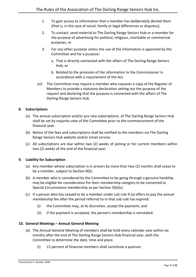- 1. To gain access to information that a member has deliberately denied them (that is, in the case of social, family or legal differences or disputes);
- 2. To contact, send material to The Darling Range Seniors Hub or a member for the purpose of advertising for political, religious, charitable or commercial purposes, or
- 3. For any other purpose unless the use of the information is approved by the Committee and for a purpose:
	- a. That is directly connected with the affairs of The Darling Range Seniors Hub; or
	- b. Related to the provision of the information to the Commissioner in accordance with a requirement of the Act.
- (vi) The Committee may require a member who requests a copy of the Register of Members to provide a statutory declaration setting out the purpose of the request and declaring that the purpose is connected with the affairs of The Darling Range Seniors Hub.

#### <span id="page-6-0"></span>**8. Subscriptions**

- (a) The annual subscription and/or pro rata subscriptions of The Darling Range Seniors Hub shall be set by majority vote of the Committee prior to the commencement of the financial year.
- (b) Notice of the fees and subscriptions shall be notified to the members via The Darling Range Seniors Hub website and/or email service.
- (c) All subscriptions are due within two (2) weeks of joining or for current members within two (2) weeks of the end of the financial year.

#### <span id="page-6-1"></span>**9. Liability for Subscription**

- (a) Any member whose subscription is in arrears by more than two (2) months shall cease to be a member, subject to Section [9\(b\).](#page-6-3)
- <span id="page-6-3"></span>(b) A member who is considered by the Committee to be going through a genuine hardship may be eligible for consideration for their membership category to be converted to Special Circumstance membership as per Section 5(b)(v).
- (c) If a person who has ceased to be a member under sub rule 9 (a) offers to pay the annual membership fee after the period referred to in that sub rule has expired:
	- (i) the Committee may, at its discretion, accept the payment; and
	- (ii) if the payment is accepted, the person's membership is reinstated.

#### <span id="page-6-2"></span>**10. General Meetings – Annual General Meeting**

- (a) The Annual General Meeting of members shall be held every calendar year within six months after the end of The Darling Range Seniors Hub financial year, with the Committee to determine the date, time and place.
	- (i) 15 percent of financial members shall constitute a quorum.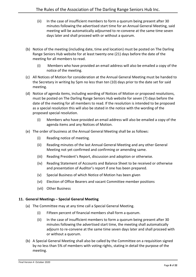- (ii) In the case of insufficient members to form a quorum being present after 30 minutes following the advertised start time for an Annual General Meeting, said meeting will be automatically adjourned to re-convene at the same time seven days later and shall proceed with or without a quorum.
- (b) Notice of the meeting (including date, time and location) must be posted on The Darling Range Seniors Hub website for at least twenty one (21) days before the date of the meeting for all members to read.
	- (i) Members who have provided an email address will also be emailed a copy of the notice of the meeting.
- (c) All Notices of Motion for consideration at the Annual General Meeting must be handed to the Secretary in writing by 5pm no less than ten (10) days prior to the date set for said meeting.
- (d) Notice of agenda items, including wording of Notices of Motion or proposed resolutions, must be posted on The Darling Range Seniors Hub website for seven (7) days before the date of the meeting for all members to read. If the resolution is intended to be proposed as a special resolution this will also be stated in the notice with the wording of the proposed special resolution.
	- (i) Members who have provided an email address will also be emailed a copy of the agenda items and any Notices of Motion.
- (e) The order of business at the Annual General Meeting shall be as follows:
	- (i) Reading notice of meeting.
	- (ii) Reading minutes of the last Annual General Meeting and any other General Meeting not yet confirmed and confirming or amending same.
	- (iii) Reading President's Report, discussion and adoption or otherwise.
	- (iv) Reading Statement of Accounts and Balance Sheet to be received or otherwise and presentation of Auditor's report if one has been prepared.
	- (v) Special Business of which Notice of Motion has been given
	- (vi) Election of Office Bearers and vacant Committee member positions
	- (vii) Other Business

#### <span id="page-7-0"></span>**11. General Meetings – Special General Meeting**

- (a) The Committee may at any time call a Special General Meeting.
	- (i) Fifteen percent of financial members shall form a quorum.
	- (ii) In the case of insufficient members to form a quorum being present after 30 minutes following the advertised start time, the meeting shall automatically adjourn to re-convene at the same time seven days later and shall proceed with or without a quorum.
- (b) A Special General Meeting shall also be called by the Committee on a requisition signed by no less than 5% of members with voting rights, stating in detail the purpose of the meeting.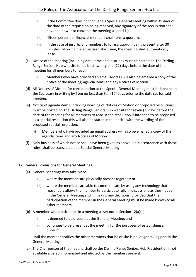- (i) If the Committee does not convene a Special General Meeting within 35 days of the date of the requisition being received, any signatory of the requisition shall have the power to convene the meeting as per 11(c).
- (ii) fifteen percent of financial members shall form a quorum.
- (iii) In the case of insufficient members to form a quorum being present after 30 minutes following the advertised start time, the meeting shall automatically lapse.
- (c) Notice of the meeting (including date, time and location) must be posted on The Darling Range Seniors Hub website for at least twenty one (21) days before the date of the meeting for all members to read.
	- (i) Members who have provided an email address will also be emailed a copy of the notice of the meeting, agenda items and any Notices of Motion.
- (d) All Notices of Motion for consideration at the Special General Meeting must be handed to the Secretary in writing by 5pm no less than ten (10) days prior to the date set for said meeting.
- (e) Notice of agenda items, including wording of Notices of Motion or proposed resolutions, must be posted on The Darling Range Seniors Hub website for seven (7) days before the date of the meeting for all members to read. If the resolution is intended to be proposed as a special resolution this will also be stated in the notice with the wording of the proposed special resolution.
	- (i) Members who have provided an email address will also be emailed a copy of the agenda items and any Notices of Motion.
- (f) Only business of which notice shall have been given as above, or in accordance with these rules, shall be transacted at a Special General Meeting.

#### <span id="page-8-0"></span>**12. General Provisions for General Meetings**

- <span id="page-8-1"></span>(a) General Meetings may take place:
	- (i) where the members are physically present together; or
	- (ii) where the members are able to communicate by using any technology that reasonably allows the member to participate fully in discussions as they happen in the General Meeting and in making any decisions, provided that the participation of the member in the General Meeting must be made known to all other members.
- (b) A member who participates in a meeting as set out in Section 1[2\(a\)\(ii\):](#page-8-1)
	- (i) is deemed to be present at the General Meeting; and
	- (ii) continues to be present at the meeting for the purposes of establishing a quorum;

until the member notifies the other members that he or she is no longer taking part in the General Meeting.

(c) The Chairperson of the meeting shall be the Darling Range Seniors Hub President or if not available a person nominated and elected by the members present.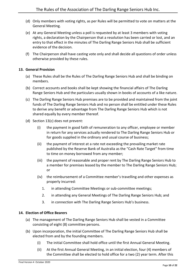- (d) Only members with voting rights, as per Rules will be permitted to vote on matters at the General Meeting.
- (e) At any General Meeting unless a poll is requested by at least 3 members with voting rights, a declaration by the Chairperson that a resolution has been carried or lost, and an entry to that effect in the minutes of The Darling Range Seniors Hub shall be sufficient evidence of the decision.
- (f) The Chairperson shall have casting vote only and shall decide all questions of order unless otherwise provided by these rules.

#### <span id="page-9-0"></span>**13. General Provision**

- (a) These Rules shall be the Rules of The Darling Range Seniors Hub and shall be binding on members.
- (b) Correct accounts and books shall be kept showing the financial affairs of The Darling Range Seniors Hub and the particulars usually shown in books of accounts of a like nature.
- <span id="page-9-2"></span>(c) The Darling Range Seniors Hub premises are to be provided and maintained from the joint funds of The Darling Range Seniors Hub and no person shall be entitled under these Rules to derive any benefit or advantage from The Darling Range Seniors Hub which is not shared equally by every member thereof.
- (d) Section 1[3\(c\)](#page-9-2) does not prevent:
	- (i) the payment in good faith of remuneration to any officer, employee or member in return for any services actually rendered to The Darling Range Seniors Hub or for goods supplied in the ordinary and usual course of business;
	- (ii) the payment of interest at a rate not exceeding the prevailing market rate published by the Reserve Bank of Australia as the "Cash Rate Target" from time to time on money borrowed from any member;
	- (iii) the payment of reasonable and proper rent by The Darling Range Seniors Hub to a member for premises leased by the member to The Darling Range Seniors Hub; or
	- (iv) the reimbursement of a Committee member's travelling and other expenses as properly incurred:
		- 1. in attending Committee Meetings or sub-committee meetings;
		- 2. in attending any General Meetings of The Darling Range Seniors Hub; and
		- 3. in connection with The Darling Range Seniors Hub's business.

#### <span id="page-9-1"></span>**14. Election of Office Bearers**

- (a) The management of The Darling Range Seniors Hub shall be vested in a Committee consisting of eight (8) committee persons.
- (b) Upon incorporation, the initial Committee of The Darling Range Seniors Hub shall be elected from and by the founding members.
	- (i) The initial Committee shall hold office until the first Annual General Meeting.
	- (ii) At the first Annual General Meeting, in an initial election, four (4) members of the Committee shall be elected to hold office for a two (2) year term. After this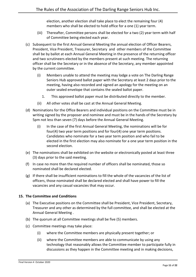election, another election shall take place to elect the remaining four (4) members who shall be elected to hold office for a one (1) year term.

- (iii) Thereafter, Committee persons shall be elected for a two (2) year term with half of Committee being elected each year.
- (c) Subsequent to the first Annual General Meeting the annual election of Officer Bearers, President, Vice President, Treasurer, Secretary and other members of the Committee shall be by ballot at each Annual General Meeting in the presence of the returning officer and two scrutineers elected by the members present at such meeting. The returning officer shall be the Secretary or in the absence of the Secretary, any member appointed by the current committee.
	- (i) Members unable to attend the meeting may lodge a vote on The Darling Range Seniors Hub approved ballot paper with the Secretary at least 2 days prior to the meeting, having also recorded and signed an apology for the meeting on an outer sealed envelope that contains the sealed ballot paper.
		- 1. This approved ballot paper must be distributed directly to the member.
	- (ii) All other votes shall be cast at the Annual General Meeting.
- (d) Nominations for the Office Bearers and individual positions on the Committee must be in writing signed by the proposer and nominee and must be in the hands of the Secretary by 5pm not less than seven (7) days before the Annual General Meeting.
	- (i) In the case of the first Annual General Meeting, the nominations will be for four(4) two year term positions and for four(4) one year term positions. Candidates who nominate for a two year term position and who fail to be elected in the first election may also nominate for a one year term position in the second election.
- (e) The nominations shall be exhibited on the website or electronically posted at least three (3) days prior to the said meeting.
- (f) In case no more than the required number of officers shall be nominated, those so nominated shall be declared elected.
- (g) If there shall be insufficient nominations to fill the whole of the vacancies of the list of officers, those nominated shall be declared elected and shall have power to fill the vacancies and any casual vacancies that may occur.

#### <span id="page-10-0"></span>**15. The Committee and Conditions**

- (a) The Executive positions on the Committee shall be President, Vice President, Secretary, Treasurer and any other as determined by the full committee, and shall be elected at the Annual General Meeting .
- <span id="page-10-2"></span>(b) The quorum at all Committee meetings shall be five (5) members.
- <span id="page-10-1"></span>(c) Committee meetings may take place:
	- (i) where the Committee members are physically present together; or
	- (ii) where the Committee members are able to communicate by using any technology that reasonably allows the Committee member to participate fully in discussions as they happen in the Committee meeting and in making decisions,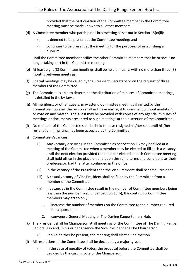provided that the participation of the Committee member in the Committee meeting must be made known to all other members.

- (d) A Committee member who participates in a meeting as set out in Section 1[5\(c\)\(ii\):](#page-10-1)
	- (i) is deemed to be present at the Committee meeting; and
	- (ii) continues to be present at the meeting for the purposes of establishing a quorum,

until the Committee member notifies the other Committee members that he or she is no longer taking part in the Committee meeting.

- (e) At least eight (8) Committee meetings shall be held annually, with no more than three (3) months between meetings.
- <span id="page-11-1"></span>(f) Special meetings may be called by the President, Secretary or on the request of three members of the Committee.
- (g) The Committee is able to determine the distribution of minutes of Committee meetings, as detailed in the by-laws.
- (h) All members, or other guests, may attend Committee meetings if invited by the Committee however the person shall not have any right to comment without invitation, or vote on any matter. The guest may be provided with copies of any agenda, minutes of meetings or documents presented to such meetings at the discretion of the Committee.
- <span id="page-11-0"></span>(i) No member of the Committee shall be held to have resigned his/her seat until his/her resignation, in writing, has been accepted by the Committee.
- (j) Committee Vacancies
	- (i) Any vacancy occurring in the Committee as per Section [16](#page-12-0) may be filled at a meeting of the Committee when a member may be elected to fill such a vacancy until the next election provided the member elected at such Committee meeting shall hold office in the place of, and upon the same terms and conditions as their predecessor, had the latter continued in the office.
	- (ii) In the vacancy of the President then the Vice President shall become President.
	- (iii) A casual vacancy of Vice President shall be filled by the Committee from a member of the Committee.
	- (iv) If vacancies in the Committee result in the number of Committee members being less than the number fixed under Section 1[5\(b\),](#page-10-2) the continuing Committee members may act to only:
		- 1. increase the number of members on the Committee to the number required for a quorum; or
		- 2. convene a General Meeting of The Darling Range Seniors Hub.
- <span id="page-11-2"></span>(k) The President shall be Chairperson at all meetings of the Committee of The Darling Range Seniors Hub and, in his or her absence the Vice President shall be Chairperson.
	- (i) Should neither be present, the meeting shall elect a Chairperson.
- (l) All resolutions of the Committee shall be decided by a majority vote.
	- (i) In the case of equality of votes, the proposal before the Committee shall be decided by the casting vote of the Chairperson.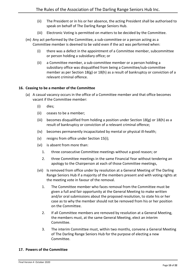- (ii) The President or in his or her absence, the acting President shall be authorised to speak on behalf of The Darling Range Seniors Hub.
- (iii) Electronic Voting is permitted on matters to be decided by the Committee.
- (m) Any act performed by the Committee, a sub-committee or a person acting as a Committee member is deemed to be valid even if the act was performed when:
	- (i) there was a defect in the appointment of a Committee member, subcommittee or person holding a subsidiary office; or
	- (ii) a Committee member, a sub-committee member or a person holding a subsidiary office was disqualified from being a Committee/sub-committee member as per Section [18\(g\)](#page-15-1) or [18\(h\)](#page-15-2) as a result of bankruptcy or conviction of a relevant criminal offence.

#### <span id="page-12-0"></span>**16. Ceasing to be a member of the Committee**

- (a) A casual vacancy occurs in the office of a Committee member and that office becomes vacant if the Committee member:
	- (i) dies;
	- (ii) ceases to be a member;
	- (iii) becomes disqualified from holding a position under Section  $18(g)$  or  $18(h)$  as a result of bankruptcy or conviction of a relevant criminal offence;
	- (iv) becomes permanently incapacitated by mental or physical ill-health;
	- (v) resigns from office under Section [15\(i\);](#page-11-0)
	- (vi) is absent from more than:
		- 1. three consecutive Committee meetings without a good reason; or
		- 2. three Committee meetings in the same Financial Year without tendering an apology to the Chairperson at each of those Committee meetings,
	- (vii) Is removed from office under by resolution at a General Meeting of The Darling Range Seniors Hub if a majority of the members present and with voting rights at the meeting vote in favour of the removal.
		- 1. The Committee member who faces removal from the Committee must be given a full and fair opportunity at the General Meeting to make written and/or oral submissions about the proposed resolution, to state his or her case as to why the member should not be removed from his or her position on the Committee.
		- 2. If all Committee members are removed by resolution at a General Meeting, the members must, at the same General Meeting, elect an interim Committee.
		- 3. The interim Committee must, within two months, convene a General Meeting of The Darling Range Seniors Hub for the purpose of electing a new Committee.

#### <span id="page-12-1"></span>**17. Powers of the Committee**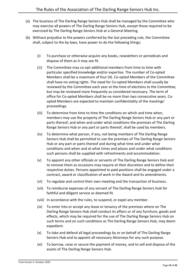- (a) The business of The Darling Range Seniors Hub shall be managed by the Committee who may exercise all powers of The Darling Range Seniors Hub, except those required to be exercised by The Darling Range Seniors Hub at a General Meeting.
- (b) Without prejudice to the powers conferred by the last preceding rule, the Committee shall, subject to the by-laws, have power to do the following things:
	- (i) To purchase or otherwise acquire any books, newsletters or periodicals and dispose of them as it may see fit.
	- (ii) The Committee may co-opt additional members from time to time with particular specified knowledge and/or expertise. The number of Co-opted Members shall be a maximum of four (4). Co-opted Members of the Committee shall have no voting rights. The need for Co-opted Members shall usually be reviewed by the Committee each year at the time of elections to the Committee, but may be reviewed more frequently as considered necessary. The term of office for Co-opted Members shall be no more than two consecutive years. Coopted Members are expected to maintain confidentiality of the meetings' proceedings.
	- (iii) To determine from time to time the conditions on which and time when, members may use the property of The Darling Range Seniors Hub or any part or parts thereof, and when and under what conditions the premises of The Darling Range Seniors Hub or any part or parts thereof, shall be used by members.
	- (iv) To determine what person, if any, not being members of The Darling Range Seniors Hub shall be permitted to use the premises of The Darling Range Seniors Hub or any part or parts thereof and during what time and under what conditions and when and at what times and places and under what conditions such persons shall be supplied with refreshments and accommodation.
	- (v) To appoint any other officials or servants of The Darling Range Seniors Hub and to remove them as occasions may require at their discretion and to define their respective duties. Persons appointed to paid positions shall be engaged under a contract, award or classification of work in the Award and its amendments.
	- (vi) To regulate and control their own meeting and the transaction of business.
	- (vii) To reimburse expenses of any servant of The Darling Range Seniors Hub for faithful and diligent service as deemed fit.
	- (viii) In accordance with the rules, to suspend, or expel any member.
	- (ix) To enter into or accept any lease or tenancy of the premises where on The Darling Range Seniors Hub shall conduct its affairs or of any furniture, goods and effects, which may be required for the use of The Darling Range Seniors Hub on such terms and on such conditions as The Darling Range Seniors Hub, may deem expedient.
	- (x) To take and defend all legal proceedings by or on behalf of The Darling Range Seniors Hub and to appoint all necessary Attorneys for any such purpose.
	- (xi) To borrow, raise or secure the payment of money, and to sell and dispose of the assets of The Darling Range Seniors Hub.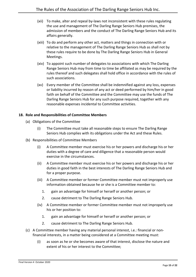- (xii) To make, alter and repeal by-laws not inconsistent with these rules regulating the use and management of The Darling Range Seniors Hub premises, the admission of members and the conduct of The Darling Range Seniors Hub and its affairs generally.
- (xiii) To do and perform any other act, matters and things in connection with or relative to the management of The Darling Range Seniors Hub as shall not by these rules require to be done by The Darling Range Seniors Hub in General Meetings.
- (xiv) To appoint such number of delegates to associations with which The Darling Range Seniors Hub may from time to time be affiliated as may be required by the rules thereof and such delegates shall hold office in accordance with the rules of such associations.
- (xv) Every member of the Committee shall be indemnified against any loss, expenses or liability incurred by reason of any act or deed performed by him/her in good faith on behalf of the Committee and the Committee may use the funds of The Darling Range Seniors Hub for any such purpose required, together with any reasonable expenses incidental to Committee activities.

#### <span id="page-14-0"></span>**18. Role and Responsibilities of Committee Members**

- (a) Obligations of the Committee
	- (i) The Committee must take all reasonable steps to ensure The Darling Range Seniors Hub complies with its obligations under the Act and these Rules.
- (b) Responsibilities of Committee Members
	- (i) A Committee member must exercise his or her powers and discharge his or her duties with a degree of care and diligence that a reasonable person would exercise in the circumstances.
	- (ii) A Committee member must exercise his or her powers and discharge his or her duties in good faith in the best interests of The Darling Range Seniors Hub and for a proper purpose.
	- (iii) A Committee member or former Committee member must not improperly use information obtained because he or she is a Committee member to:
		- 1. gain an advantage for himself or herself or another person; or
		- 2. cause detriment to The Darling Range Seniors Hub.
	- (iv) A Committee member or former Committee member must not improperly use his or her position to:
		- 1. gain an advantage for himself or herself or another person; or
		- 2. cause detriment to The Darling Range Seniors Hub.
- (c) A Committee member having any material personal interest, i.e.: financial or nonfinancial interests, in a matter being considered at a Committee meeting must:
	- (i) as soon as he or she becomes aware of that interest, disclose the nature and extent of his or her interest to the Committee;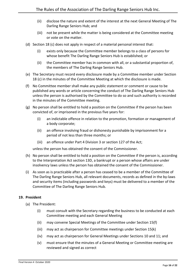- (ii) disclose the nature and extent of the interest at the next General Meeting of The Darling Range Seniors Hub; and
- (iii) not be present while the matter is being considered at the Committee meeting or vote on the matter.
- (d) Section 18 (c) does not apply in respect of a material personal interest that:
	- (i) exists only because the Committee member belongs to a class of persons for whose benefit The Darling Range Seniors Hub is established; or
	- (ii) the Committee member has in common with all, or a substantial proportion of, the members of The Darling Range Seniors Hub.
- (e) The Secretary must record every disclosure made by a Committee member under Section 18 (c) in the minutes of the Committee Meeting at which the disclosure is made.
- (f) No Committee member shall make any public statement or comment or cause to be published any words or article concerning the conduct of The Darling Range Seniors Hub unless the person is authorised by the Committee to do so and such authority is recorded in the minutes of the Committee meeting.
- <span id="page-15-1"></span>(g) No person shall be entitled to hold a position on the Committee if the person has been convicted of, or imprisoned in the previous five years for:
	- (i) an indictable offence in relation to the promotion, formation or management of a body corporate;
	- (ii) an offence involving fraud or dishonesty punishable by imprisonment for a period of not less than three months; or
	- (iii) an offence under Part 4 Division 3 or section 127 of the Act;

unless the person has obtained the consent of the Commissioner.

- <span id="page-15-2"></span>(h) No person shall be entitled to hold a position on the Committee if the person is, according to the Interpretation Act section 13D, a bankrupt or a person whose affairs are under insolvency laws unless the person has obtained the consent of the Commissioner.
- (i) As soon as is practicable after a person has ceased to be a member of the Committee of The Darling Range Seniors Hub, all relevant documents, records as defined in the by-laws and security items (including passwords and keys) must be delivered to a member of the Committee of The Darling Range Seniors Hub.

#### <span id="page-15-0"></span>**19. President**

- (a) The President:
	- (i) must consult with the Secretary regarding the business to be conducted at each Committee meeting and each General Meeting
	- (ii) may convene Special Meetings of the Committee under Section [15\(f\)](#page-11-1)
	- (iii) may act as chairperson for Committee meetings under Section [15\(k\)](#page-11-2)
	- (iv) may act as chairperson for General Meetings under Sections [10](#page-6-2) and [11;](#page-7-0) and
	- (v) must ensure that the minutes of a General Meeting or Committee meeting are reviewed and signed as correct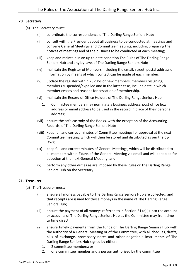#### <span id="page-16-0"></span>**20. Secretary**

- (a) The Secretary must:
	- (i) co-ordinate the correspondence of The Darling Range Seniors Hub;
	- (ii) consult with the President about all business to be conducted at meetings and convene General Meetings and Committee meetings, including preparing the notices of meetings and of the business to be conducted at each meeting;
	- (iii) keep and maintain in an up to date condition The Rules of The Darling Range Seniors Hub and any by-laws of The Darling Range Seniors Hub;
	- (iv) maintain the Register of Members including the email, street, postal address or information by means of which contact can be made of each member;
	- (v) update the register within 28 days of new members, members resigning, members suspended/expelled and in the latter case, include date in which member ceases and reasons for cessation of membership.
	- (vi) maintain the Record of Office Holders of The Darling Range Seniors Hub.
		- 1. Committee members may nominate a business address, post office box address or email address to be used in the record in place of their personal address;
	- (vii) ensure the safe custody of the Books, with the exception of the Accounting Records, of The Darling Range Seniors Hub;
	- (viii) keep full and correct minutes of Committee meetings for approval at the next Committee meeting, which will then be stored and distributed as per the bylaws;
	- (ix) keep full and correct minutes of General Meetings, which will be distributed to all members within *7* days of the General Meeting via email and will be tabled for adoption at the next General Meeting; and
	- (x) perform any other duties as are imposed by these Rules or The Darling Range Seniors Hub on the Secretary.

#### <span id="page-16-1"></span>**21. Treasurer**

- <span id="page-16-2"></span>(a) The Treasurer must:
	- (i) ensure all moneys payable to The Darling Range Seniors Hub are collected, and that receipts are issued for those moneys in the name of The Darling Range Seniors Hub;
	- (ii) ensure the payment of all moneys referred to in Section 21 (a[\)\(i\)](#page-16-2) into the account or accounts of The Darling Range Seniors Hub as the Committee may from time to time direct;
	- (iii) ensure timely payments from the funds of The Darling Range Seniors Hub with the authority of a General Meeting or of the Committee, with all cheques, drafts, bills of exchange, promissory notes and other negotiable instruments of The Darling Range Seniors Hub signed by either:
		- 1. 2 committee members; or
		- 2. one committee member and a person authorised by the committee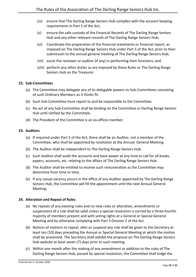- (iv) ensure that The Darling Range Seniors Hub complies with the account keeping requirements in Part 5 of the Act;
- (v) ensure the safe custody of the Financial Records of The Darling Range Seniors Hub and any other relevant records of The Darling Range Seniors Hub;
- (vi) Coordinate the preparation of the financial statements or financial report, as imposed on The Darling Range Seniors Hub under Part 5 of the Act, prior to their submission to the annual general meeting of The Darling Range Seniors Hub;
- (vii) assist the reviewer or auditor (if any) in performing their functions; and
- (viii) perform any other duties as are imposed by these Rules or The Darling Range Seniors Hub on the Treasurer.

#### <span id="page-17-0"></span>**22. Sub-Committees**

- (a) The Committee may delegate any of its delegable powers to Sub-Committees consisting of such Ordinary Members as it thinks fit.
- (b) Such Sub-Committee must report to and be responsible to the Committee.
- (c) No act of any Sub-Committee shall be binding on the Committee or Darling Range Seniors Hub until ratified by the Committee.
- (d) The President of the Committee is an ex-officio member.

#### <span id="page-17-1"></span>**23. Auditors**

- (a) If required under Part 5 of the Act, there shall be an Auditor, not a member of the Committee, who shall be appointed by resolution at the Annual General Meeting.
- (b) The Auditor shall be independent to The Darling Range Seniors Hub.
- (c) Such Auditor shall audit the accounts and have power at any time to call for all books, papers, accounts, etc. relating to the affairs of The Darling Range Seniors Hub.
- (d) The Auditor shall be entitled to receive such remuneration as the Committee may determine from time to time.
- (e) If any casual vacancy occurs in the office of any Auditor appointed by The Darling Range Seniors Hub, the Committee will fill the appointment until the next Annual General Meeting.

#### <span id="page-17-2"></span>**24. Alteration and Repeal of Rules**

- (a) No repeals of any existing rules and no new rules or alteration, amendments or suspensions of a rule shall be valid unless a special resolution is carried by a three-fourths majority of members present and with voting rights at a General or Special General Meeting and by otherwise complying with Part 3 Division 2 of the Act.
- (b) Notices of motions to repeal, alter or suspend any rule shall be given to the Secretary at least ten (10) days preceding the Annual or Special General Meeting at which the motion shall be presented. The Secretary shall exhibit the proposal on The Darling Range Seniors Hub website at least seven (7) days prior to such meeting.
- (c) Within one month after the making of any amendment or addition to the rules of The Darling Range Seniors Hub, passed by special resolution, the Committee shall lodge the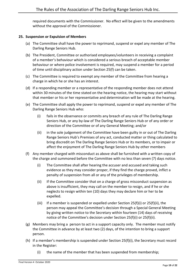required documents with the Commissioner. No effect will be given to the amendments without the approval of the Commissioner.

#### <span id="page-18-0"></span>**25. Suspension or Expulsion of Members**

- (a) The Committee shall have the power to reprimand, suspend or expel any member of The Darling Range Seniors Hub.
- (b) The President, Committee or authorised employees/volunteers in receiving a complaint of a member's behaviour which is considered a serious breach of acceptable member behaviour or where police involvement is required, may suspend a member for a period of time until disciplinary action under Section 2[5\(f\)](#page-18-1) can be taken.
- (c) The Committee is required to exempt any member of the Committee from hearing a charge in which he or she has an interest.
- (d) If a responding member or a representative of the responding member does not attend within 30 minutes of the time stated on the hearing notice, the hearing may start without that member or his or her representative and determination will be made at the hearing.
- (e) The Committee shall apply the power to reprimand, suspend or expel any member of The Darling Range Seniors Hub who:
	- (i) fails in the observance or commits any breach of any rule of The Darling Range Seniors Hub, or any by-law of The Darling Range Seniors Hub or of any order or direction of the Committee or of any General Meeting; and/or
	- (ii) in the sole judgement of the Committee have been guilty in or out of The Darling Range Seniors Hub's Premises of any act, conducted matter or thing calculated to bring discredit on The Darling Range Seniors Hub or its members, or to impair or affect the enjoyment of The Darling Range Seniors Hub by other members
- <span id="page-18-3"></span><span id="page-18-2"></span><span id="page-18-1"></span>(f) Any member charged with misconduct as above shall be furnished with a written copy of the charge and summoned before the Committee with no less than seven (7) days notice.
	- (i) The Committee shall after hearing the accuser and accused and taking such evidence as they may consider proper, if they find the charge proved, inflict a penalty of suspension from all or any of the privileges of membership.
	- (ii) If the Committee consider that on a charge of gross misconduct suspension as above is insufficient, they may call on the member to resign, and if he or she neglects to resign within ten (10) days they may declare him or her to be expelled.
	- (iii) If a member is suspended or expelled under Section 25(f[\)\(i\)](#page-18-2) or 25(f[\)\(ii\),](#page-18-3) the person may appeal the Committee's decision through a Special General Meeting by giving written notice to the Secretary within fourteen (14) days of receiving notice of the Committee's decision under Section 25(f[\)\(i\)](#page-18-2) or 25(f[\)\(ii\).](#page-18-3)
- (g) Members may bring a person to act in a support capacity only. The member must notify the Committee in advance by at least two (2) days, of the intention to bring a support person.
- (h) If a member's membership is suspended under Section 2[5\(f\)\(i\),](#page-18-2) the Secretary must record in the Register:
	- (i) the name of the member that has been suspended from membership;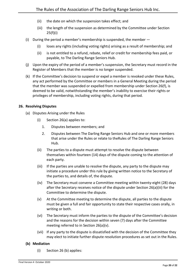- (ii) the date on which the suspension takes effect; and
- (iii) the length of the suspension as determined by the Committee under Section 2[5\(f\)\(i\)](#page-18-2)
- (i) During the period a member's membership is suspended, the member
	- (i) loses any rights (including voting rights) arising as a result of membership; and
	- (ii) is not entitled to a refund, rebate, relief or credit for membership fees paid, or payable, to The Darling Range Seniors Hub.
- (j) Upon the expiry of the period of a member's suspension, the Secretary must record in the Register of Members that the member is no longer suspended.
- (k) If the Committee's decision to suspend or expel a member is revoked under these Rules, any act performed by the Committee or members in a General Meeting during the period that the member was suspended or expelled from membership under Section 2[6\(f\),](#page-18-1) is deemed to be valid, notwithstanding the member's inability to exercise their rights or privileges of membership, including voting rights, during that period.

#### <span id="page-19-1"></span><span id="page-19-0"></span>**26. Resolving Disputes**

- <span id="page-19-4"></span><span id="page-19-2"></span>(a) Disputes Arising under the Rules
	- (i) Section 2[6\(a\)](#page-19-1) applies to:
		- 1. Disputes between members; and
		- 2. Disputes between The Darling Range Seniors Hub and one or more members that arise under the Rules or relate to theRules of The Darling Range Seniors Hub.
	- (ii) The parties to a dispute must attempt to resolve the dispute between themselves within fourteen (14) days of the dispute coming to the attention of each party.
	- (iii) If the parties are unable to resolve the dispute, any party to the dispute may initiate a procedure under this rule by giving written notice to the Secretary of the parties to, and details of, the dispute.
	- (iv) The Secretary must convene a Committee meeting within twenty-eight (28) days after the Secretary receives notice of the dispute under Section 26(a[\)\(iii\)](#page-19-2) for the Committee to determine the dispute.
	- (v) At the Committee meeting to determine the dispute, all parties to the dispute must be given a full and fair opportunity to state their respective cases orally, in writing or both.
	- (vi) The Secretary must inform the parties to the dispute of the Committee's decision and the reasons for the decision within seven (7) days after the Committee meeting referred to in Section 26(a[\)\(v\).](#page-19-3)
	- (vii) If any party to the dispute is dissatisfied with the decision of the Committee they may elect to initiate further dispute resolution procedures as set out in the Rules.

#### <span id="page-19-5"></span><span id="page-19-3"></span>**(b) Mediation**

(i) Section 26 (b) applies: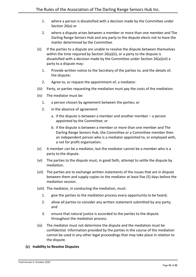- 1. where a person is dissatisfied with a decision made by the Committee under Section 2[6\(a\)](#page-19-1) or
- 2. where a dispute arises between a member or more than one member and The Darling Range Seniors Hub and any party to the dispute elects not to have the matter determined by the Committee.
- (ii) If the parties to a dispute are unable to resolve the dispute between themselves within the time required by Section 2[6\(a\)\(ii\),](#page-19-4) or a party to the dispute is dissatisfied with a decision made by the Committee under Section 2[6\(a\)\(vii\)](#page-19-5) a party to a dispute may:
	- 1. Provide written notice to the Secretary of the parties to, and the details of, the dispute;
	- 2. Agree to, or request the appointment of, a mediator.
- (iii) Party, or parties requesting the mediation must pay the costs of the mediation.
- (iv) The mediator must be:
	- 1. a person chosen by agreement between the parties; or
	- 2. in the absence of agreement:
		- a. if the dispute is between a member and another member a person appointed by the Committee; or
		- b. if the dispute is between a member or more than one member and The Darling Range Seniors Hub, the Committee or a Committee member then an independent person who is a mediator appointed to, or employed with, a not for profit organisation.
- (v) A member can be a mediator, but the mediator cannot be a member who is a party to the dispute.
- (vi) The parties to the dispute must, in good faith, attempt to settle the dispute by mediation.
- (vii) The parties are to exchange written statements of the issues that are in dispute between them and supply copies to the mediator at least five (5) days before the mediation session.
- (viii) The mediator, in conducting the mediation, must:
	- 1. give the parties to the mediation process every opportunity to be heard;
	- 2. allow all parties to consider any written statement submitted by any party; and
	- 3. ensure that natural justice is accorded to the parties to the dispute throughout the mediation process.
- (ix) The mediator must not determine the dispute and the mediation must be confidential. Information provided by the parties in the course of the mediation cannot be used in any other legal proceedings that may take place in relation to the dispute.

#### **(c) Inability to Resolve Disputes**